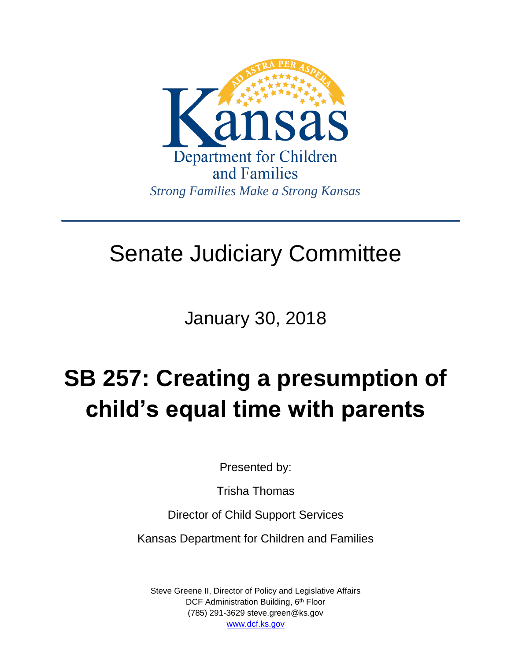

## Senate Judiciary Committee

January 30, 2018

# **SB 257: Creating a presumption of child's equal time with parents**

Presented by:

Trisha Thomas

Director of Child Support Services

Kansas Department for Children and Families

Steve Greene II, Director of Policy and Legislative Affairs DCF Administration Building, 6<sup>th</sup> Floor (785) 291-3629 steve.green@ks.gov [www.dcf.ks.gov](http://www.dcf.ks.gov/)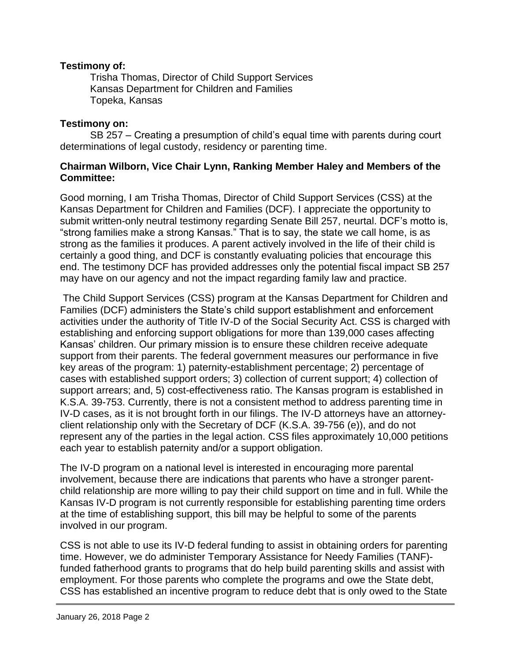### **Testimony of:**

Trisha Thomas, Director of Child Support Services Kansas Department for Children and Families Topeka, Kansas

#### **Testimony on:**

SB 257 – Creating a presumption of child's equal time with parents during court determinations of legal custody, residency or parenting time.

### **Chairman Wilborn, Vice Chair Lynn, Ranking Member Haley and Members of the Committee:**

Good morning, I am Trisha Thomas, Director of Child Support Services (CSS) at the Kansas Department for Children and Families (DCF). I appreciate the opportunity to submit written-only neutral testimony regarding Senate Bill 257, neurtal. DCF's motto is, "strong families make a strong Kansas." That is to say, the state we call home, is as strong as the families it produces. A parent actively involved in the life of their child is certainly a good thing, and DCF is constantly evaluating policies that encourage this end. The testimony DCF has provided addresses only the potential fiscal impact SB 257 may have on our agency and not the impact regarding family law and practice.

The Child Support Services (CSS) program at the Kansas Department for Children and Families (DCF) administers the State's child support establishment and enforcement activities under the authority of Title IV-D of the Social Security Act. CSS is charged with establishing and enforcing support obligations for more than 139,000 cases affecting Kansas' children. Our primary mission is to ensure these children receive adequate support from their parents. The federal government measures our performance in five key areas of the program: 1) paternity-establishment percentage; 2) percentage of cases with established support orders; 3) collection of current support; 4) collection of support arrears; and, 5) cost-effectiveness ratio. The Kansas program is established in K.S.A. 39-753. Currently, there is not a consistent method to address parenting time in IV-D cases, as it is not brought forth in our filings. The IV-D attorneys have an attorneyclient relationship only with the Secretary of DCF (K.S.A. 39-756 (e)), and do not represent any of the parties in the legal action. CSS files approximately 10,000 petitions each year to establish paternity and/or a support obligation.

The IV-D program on a national level is interested in encouraging more parental involvement, because there are indications that parents who have a stronger parentchild relationship are more willing to pay their child support on time and in full. While the Kansas IV-D program is not currently responsible for establishing parenting time orders at the time of establishing support, this bill may be helpful to some of the parents involved in our program.

CSS is not able to use its IV-D federal funding to assist in obtaining orders for parenting time. However, we do administer Temporary Assistance for Needy Families (TANF) funded fatherhood grants to programs that do help build parenting skills and assist with employment. For those parents who complete the programs and owe the State debt, CSS has established an incentive program to reduce debt that is only owed to the State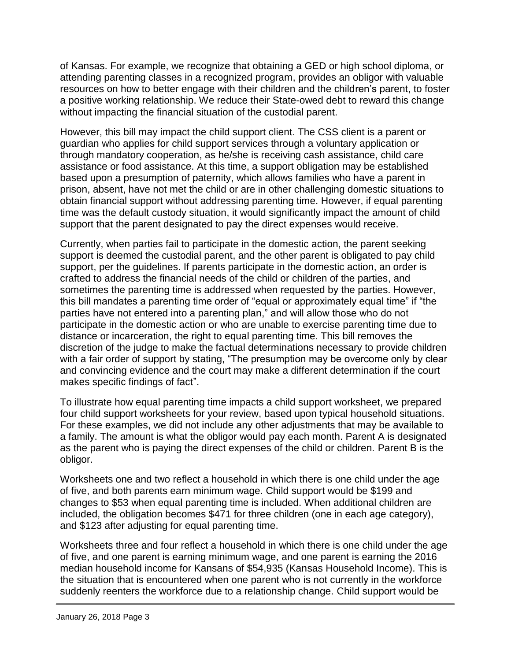of Kansas. For example, we recognize that obtaining a GED or high school diploma, or attending parenting classes in a recognized program, provides an obligor with valuable resources on how to better engage with their children and the children's parent, to foster a positive working relationship. We reduce their State-owed debt to reward this change without impacting the financial situation of the custodial parent.

However, this bill may impact the child support client. The CSS client is a parent or guardian who applies for child support services through a voluntary application or through mandatory cooperation, as he/she is receiving cash assistance, child care assistance or food assistance. At this time, a support obligation may be established based upon a presumption of paternity, which allows families who have a parent in prison, absent, have not met the child or are in other challenging domestic situations to obtain financial support without addressing parenting time. However, if equal parenting time was the default custody situation, it would significantly impact the amount of child support that the parent designated to pay the direct expenses would receive.

Currently, when parties fail to participate in the domestic action, the parent seeking support is deemed the custodial parent, and the other parent is obligated to pay child support, per the guidelines. If parents participate in the domestic action, an order is crafted to address the financial needs of the child or children of the parties, and sometimes the parenting time is addressed when requested by the parties. However, this bill mandates a parenting time order of "equal or approximately equal time" if "the parties have not entered into a parenting plan," and will allow those who do not participate in the domestic action or who are unable to exercise parenting time due to distance or incarceration, the right to equal parenting time. This bill removes the discretion of the judge to make the factual determinations necessary to provide children with a fair order of support by stating, "The presumption may be overcome only by clear and convincing evidence and the court may make a different determination if the court makes specific findings of fact".

To illustrate how equal parenting time impacts a child support worksheet, we prepared four child support worksheets for your review, based upon typical household situations. For these examples, we did not include any other adjustments that may be available to a family. The amount is what the obligor would pay each month. Parent A is designated as the parent who is paying the direct expenses of the child or children. Parent B is the obligor.

Worksheets one and two reflect a household in which there is one child under the age of five, and both parents earn minimum wage. Child support would be \$199 and changes to \$53 when equal parenting time is included. When additional children are included, the obligation becomes \$471 for three children (one in each age category), and \$123 after adjusting for equal parenting time.

Worksheets three and four reflect a household in which there is one child under the age of five, and one parent is earning minimum wage, and one parent is earning the 2016 median household income for Kansans of \$54,935 (Kansas Household Income). This is the situation that is encountered when one parent who is not currently in the workforce suddenly reenters the workforce due to a relationship change. Child support would be